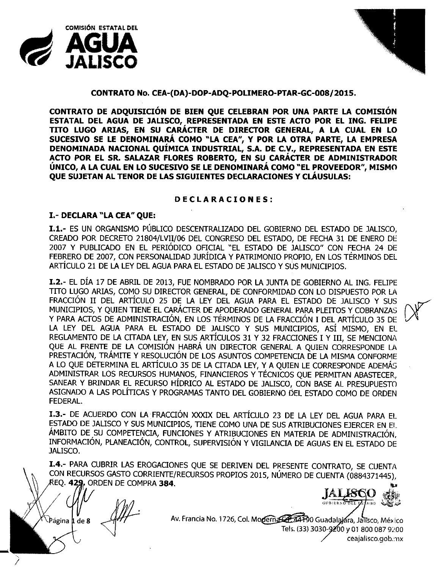



### **CONTRATO No. CEA-(DA)-DOP-ADQ-POLIMERO-PTAR-GC-008/2015.**

**CONTRATO DE ADQUISICIÓN DE BIEN QUE CELEBRAN POR UNA PARTE LA COMISIÓN ESTATAL DEL AGUA DE JALISCO, REPRESENTADA EN ESTE ACTO POR EL ING. FELIPE TITO LUGO ARIAS, EN SU CARÁCTER DE DIRECTOR GENERAL, A LA CUAL EN LO SUCESIVO SE LE DENOMINARÁ COMO "LA CEA", Y POR LA OTRA PARTE, LA EMPRESA DENOMINADA NACIONAL QUÍMICA INDUSTRIAL, S.A. DE C.V., REPRESENTADA EN ESTE ACTO POR EL SR. SALAZAR FLORES ROBERTO, EN SU CARÁCTER DE ADMINISTRADOR ÚNICO, A LA CUAL EN LO SUCESIVO SE LE DENOMINARÁ COMO "EL PROVEEDOR", MISMO QUE SUJETAN AL TENOR DE LAS SIGUIENTES DECLARACIONES Y CLÁUSULAS:**

#### **DECLARACIONES:**

## **1.- DECLARA "LA CEA" QUE:**

**1.1.-** ES UN ORGANISMO PÚBLICO DESCENTRALIZADO DEL GOBIERNO DEL ESTADO DE JALISCO, CREADO POR DECRETO 21804/LVII/06 DEL CONGRESO DEL ESTADO, DE FECHA 31 DE ENERO DE 2007 Y PUBLICADO EN EL PERIÓDICO OFICIAL "EL ESTADO DE JALISCO" CON FECHA 24 DE FEBRERO DE 2007, CON PERSONALIDAD JURÍDICA Y PATRIMONIO PROPIO, EN LOS TÉRMINOS DEL ARTÍCULO 21 DE LA LEY DEL AGUA PARA EL ESTADO DE JALISCO Y SUS MUNICIPIOS.

**1.2.-** EL DÍA 17 DE ABRIL DE 2013, FUE NOMBRADO POR LA JUNTA DE GOBIERNO AL ING. FELIPE TITO LUGO ARIAS, COMO SU DIRECTOR GENERAL, DE CONFORMIDAD CON LO DISPUESTO POR LA FRACCIÓN II DEL ARTÍCULO 25 DE LA LEY DEL AGUA PARA EL ESTADO DE JALISCO Y SUS ~ MUNICIPIOS, Y QUIEN TIENE EL CARÁCTER DE APODERADO GENERAL PARA PLEITOS Y COBRANZAS Y PARA ACTOS DE ADMINISTRACIÓN, EN LOS TÉRMINOS DE LA FRACCIÓN I DEL ARTÍCULO 35 DE LA LEY DEL AGUA PARA EL ESTADO DE JALISCO Y SUS MUNICIPIOS, ASÍ MISMO, EN EL REGLAMENTO DE LA CITADA LEY, EN SUS ARTÍCULOS 31 Y 32 FRACCIONES I Y III, SE MENCIONA QUE AL FRENTE DE LA COMISIÓN HABRÁ UN DIRECTOR GENERAL A QUIEN CORRESPONDE LA PRESTACIÓN, TRÁMITE Y RESOLUCIÓN DE LOS ASUNTOS COMPETENCIA DE LA MISMA CONFORME A LO QUE DETERMINA EL ARTÍCULO 35 DE LA CITADA LEY, Y A QUIEN LE CORRESPONDE ADEMÁS ADMINISTRAR LOS RECURSOS HUMANOS, FINANCIEROS Y TÉCNICOS QUE PERMITAN ABASTECER, SANEAR Y BRINDAR EL RECURSO HÍDRICO AL ESTADO DE JALISCO, CON BASE AL PRESUPUESTO ASIGNADO A LAS POLÍTICAS Y PROGRAMAS TANTO DEL GOBIERNO DEL ESTADO COMO DE ORDEN FEDERAL.

**1.3.-** DE ACUERDO CON LA FRACCIÓN XXXIX DEL ARTÍCULO 23 DE LA LEY DEL AGUA PARA EL ESTADO DE JALISCO Y SUS MUNICIPIOS, TIENE COMO UNA DE SUS ATRIBUCIONES EJERCER EN El ÁMBITO DE SU COMPETENCIA, FUNCIONES Y ATRIBUCIONES EN MATERIA DE ADMINISTRACIÓN' INFORMACIÓN, PLANEACIÓN, CONTROL, SUPERVISIÓN Y VIGILANCIA DE AGUAS EN EL ESTADO DÉ JALISCO.

1.4.- PARA CUBRIR LAS EROGACIONES QUE SE DERIVEN DEL PRESENTE CONTRATO, SE CUENTA CON RECURSOS GASTO CORRIENTE/RECURSOS PROPIOS 2015, NUMERO DE CUENTA (0884371445), EQ. 4 • ORDEN DE COMPRA **384. ~**

Página 1 de 8

**ALE60 GOBIERNO DILL IX**  $\overline{380}$ 

Av. Francia No. 1726, Col. Moderna Com Guadalajára, Jalisco, México Tels. (33) 3030-9200 y 01 800 087 9200 eeajalisco.gob.:nx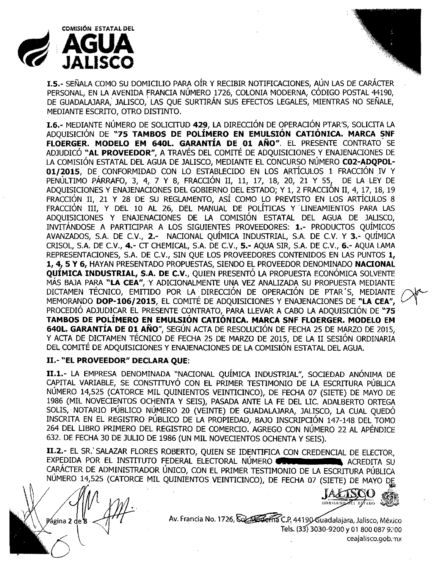

**1.5.-** SEÑALA COMO SU DOMICILIO PARA OíR Y RECIBIR NOTIFICACIONES, AÚN LAS DE CARÁCTER PERSONAL, EN LA AVENIDA FRANCIA NÚMERO 1726, COLONIA MODERNA, CÓDIGO POSTAL 44190, DE GUADALAJARA, JALISCO, LAS QUE SURTIRÁN SUS EFECTOS LEGALES, MIENTRAS NO SEÑALE, MEDIANTE ESCRITO, OTRO DISTINTO,

**1.6.-** MEDIANTE NÚMERO DE SOLICITUD **429,** LA DIRECCIÓN DE OPERACIÓN PTAR'S, SOLICITA LA ADQUISICIÓN DE **"75 TAMBOS DE POLÍMERO EN EMULSIÓN CAnÓNICA. MARCA SNF FLOERGER. MODELO EM 640L. GARANTÍA DE 01 AÑO".** EL PRESENTE CONTRATO' SE ADJUDICÓ "AL PROVEEDOR", A TRAVÉS DEL COMITÉ DE ADQUISICIONES Y ENAJENACIONES DE LA COMISIÓN ESTATAL DEL AGUA DE JALISCO, MEDIANTE EL CONCURSO NÚMERO **C02-ADQPOL-01/2015, DE CONFORMIDAD CON LO ESTABLECIDO EN LOS ARTÍCULOS 1 FRACCIÓN IV Y** PENÚLTIMO PÁRRAFO, 3, 4, 7 Y 8, FRACCIÓN II, 11, 17, 18, 20, 21 Y 55, DE LA LEY DE ADQUISICIONES Y ENAJENACIONES DEL GOBIERNO DEL ESTADO; Y 1, 2 FRACCIÓN II, 4, 17, 18, 19 FRACCIÓN II, 21 Y 28 DE SU REGLAMENTO, ASÍ COMO LO PREVISTO EN LOS ARTÍCULOS 8 FRACCIÓN III, Y DEL 10 AL 26, DEL MANUAL DE POLÍTICAS Y LINEAMIENTOS PARA LAS ADQUISICIONES Y ENAJENACIONES DE LA COMISIÓN ESTATAL DEL AGUA DE JALISCO, INVITÁNDOSE A PARTICIPAR A LOS SIGUIENTES PROVEEDORES: **1.-** PRODUCTOS QUÍMICOS AVANZADOS, S.A. DE C.V., **2.-** NACIONAL QUÍMICA INDUSTRIAL, S.A. DE C.V. Y **3.-** QUÍMICA CRISOL, S.A. DE C.V., **4.-** CT CHEMICAL, SA DE C.V., **5.-** AQUA SIR, S.A. DE C.V., **6.-** AQUA LAMA REPRESENTACIONES, S.A. DE C.V., SIN OUE LOS PROVEEDORES CONTENIDOS EN LAS PUNTOS 1, 1, 4, 5 Y 6, HAYAN PRESENTADO PROPUESTAS, SIENDO EL PROVEEDOR DENOMINADO **NACIONAL QUIMICA INDUSTRIAL, S.A. DE C.V.,** QUIEN PRESENTO LA PROPUESTA ECONOMICA SOLVENTE MÁS BAJA PARA **"LA** CEA", Y ADICIONALMENTE UNA VEZ ANALIZADA SU PROPUESTA MEDIANTE DICTAMEN TÉCNICO, EMITIDO POR LA DIRECCIÓN DE OPERACIÓN DE PTAR'S, MEDIANTE MEMORANDO **DOP-l06/2015,** EL COMITÉ DE ADQUISICIONES <sup>Y</sup> ENAJENACIONES DE **"LA CEA",** *V,* PROCEDIÓ ADJUDICAR EL PRESENTE CONTRATO, PARA LLEVAR A CABO LA ADQUISICIÓN DE "75 **TAMBOS DE POLÍMERO EN EMULSIÓN CAnÓNICA. MARCA SNF FLOERGER. MODELO EM** 640L. GARANTÍA DE 01 AÑO", SEGÚN ACTA DE RESOLUCIÓN DE FECHA 25 DE MARZO DE 2015, Y ACTA DE DICTAMEN TÉCNICO DE FECHA 25 DE MARZO DE 2015, DE LA II SESIÓN ORDINARIA DEL COMITÉ DE ADQUISICIONES Y ENAJENACIONES DE LA COMISIÓN ESTATAL DEL AGUA,

#### **11.- "EL PROVEEDOR" DECLARA QUE:**

**II.1.-** LA EMPRESA DENOMINADA "NACIONAL QUÍMICA INDUSTRIAL", SOCIEDAD ANÓNIMA DE CAPITAL VARIABLE, SE CONSTITUYÓ CON EL PRIMER TESTIMONIO DE LA ESCRITURA PÚBLICA NÚMERO 14,525 (CATORCE MIL QUINIENTOS VEINTICINCO), DE FECHA 07 (SIETE) DE MAYO DE 1986 (MIL NOVECIENTOS OCHENTA Y SEIS), PASADA ANTE LA FE DEL LIC. ADALBERTO ORTEGA SOLIS, NOTARIO PÚBLICO NÚMERO 20 (VEINTE) DE GUADALAJARA, JALISCO, LA CUAL OUEDÓ INSCRITA EN EL REGISTRO PÚBLICO DE LA PROPIEDAD, BAJO INSCRIPCIÓN 147-148 DEL TOMO 264 DEL LIBRO PRIMERO DEL REGISTRO DE COMERCIO. AGREGO CON NÚMERO 22 AL APÉNDICE 632. DE FECHA 30 DE JULIO DE 1986 (UN MIL NOVECIENTOS OCHENTA Y SEIS).

**II.2.-** EL SR. SALAZAR FLORES ROBERTO, QUIEN SE IDENTIFICA CON CREDENCIAL DE ELECTOR. EXPEDIDA POR EL INSTITUTO FEDERAL ELECTORAL NÚMERO **«EU ENDERMINES**» ACREDITA SU CARÁCTER DE ADMINISTRADOR ÚNICO, CON EL PRIMER TESTIMONIO DE LA ESCRITURA PÚBLICA NUMERO 14,525 (CATORCE MIL QUINIENTOS VEINTICINCO), DE FECHA 07 (SIETE) DE MAYO DE

Página 2 de a

GOBILKNO OD ESTADO

Av. Francia No. 1726, Colas Gerria C.P, 44190 Guadalajara, Jalisco, México Tels. (33) 3030-9200 y 01 800 087 9200 ceajalisco.gob.mx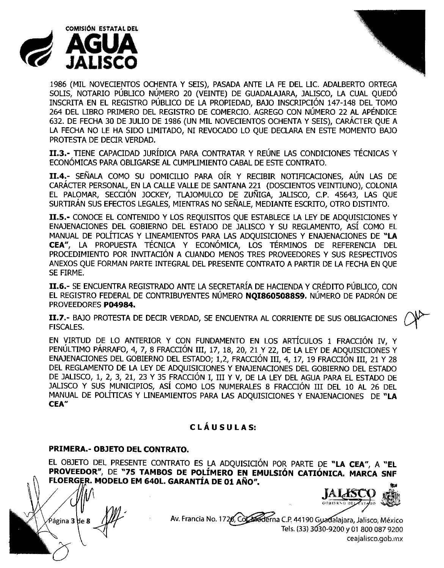



1986 (MIL NOVECIENTOS OCHENTA Y SEIS), PASADA ANTE LA FE DEL LIC. ADALBERTO ORTEGA SOLIS, NOTARIO PÚBLICO NÚMERO 20 (VEINTE) DE GUADALAJARA, JALISCO, LA CUAL QUEDÓ INSCRITA EN EL REGISTRO PÚBLICO DE LA PROPIEDAD, BAJO INSCRIPCIÓN 147-148 DEL TOMO 264 DEL LIBRO PRIMERO DEL REGISTRO DE COMERCIO. AGREGO CON NÚMERO 22 AL APÉNDICE 632. DE FECHA 30 DE JULIO DE 1986 (UN MIL NOVECIENTOS OCHENTA Y SEIS), CARÁCTER QUE A LA FECHA NO LE HA SIDO LIMITADO, NI REVOCADO LO QUE DECLARA EN ESTE MOMENTO BAJO PROTESTA DE DECIR VERDAD.

**11.3.-** TIENE CAPACIDAD JURÍDICA PARA CONTRATAR Y REÚNE LAS CONDICIONES TÉCNICAS Y ECONÓMICAS PARA OBLIGARSE AL CUMPLIMIENTO CABAL DE ESTE CONTRATO.

**11.4.-** SEÑALA COMO SU DOMICILIO PARA OíR Y RECIBIR NOTIFICACIONES, AÚN LAS DE CARÁCTER PERSONAL, EN LA CALLE VALLE DE SANTANA 221 (DOSCIENTOS VEINTIUNO), COLONIA EL PALOMAR, SECCIÓN JOCKEY, TLAJOMULCO DE ZUÑIGA, JALISCO, c.P. 4S643, LAS QUE SURTIRÁN SUS EFECTOS LEGALES, MIENTRAS NO SEÑALE, MEDIANTE ESCRITO, OTRO DISTINTO.

**11.5.-** CONOCE EL CONTENIDO Y LOS REQUISITOS QUE ESTABLECE LA LEY DE ADQUISICIONES Y ENAJENACIONES DEL GOBIERNO DEL ESTADO DE JALISCO Y SU REGLAMENTO, ASÍ COMO EL MANUAL DE POLÍTICAS Y LINEAMIENTOS PARA LAS ADQUISICIONES Y ENAJENACIONES DE **"LA CEA",** LA PROPUESTA TÉCNICA Y ECONÓMICA, LOS TÉRMINOS DE REFERENCIA DEL PROCEDIMIENTO POR INVITACIÓN A CUANDO MENOS TRES PROVEEDORES Y SUS RESPECTIVOS ANEXOS QUE FORMAN PARTE INTEGRAL DEL PRESENTE CONTRATO A PARTIR DE LA FECHA EN QUE SE FIRME.

**11.6.-** SE ENCUENTRA REGISTRADO ANTE LA SECRETARÍA DE HACIENDA Y CRÉDITO PÚBLICO, CON EL REGISTRO FEDERAL DE CONTRIBUYENTES NÚMERO **NQ18605088S9.** NÚMERO DE PADRÓN DE PROVEEDORES **P04984.**

**II.7.-** BAJO PROTESTA DE DECIR VERDAD, SE ENCUENTRA AL CORRIENTE DE SUS OBLIGACIONES (JPF)<br>FISCALES.

EN VIRTUD DE LO ANTERIOR Y CON FUNDAMENTO EN LOS ARTÍCULOS 1 FRACCIÓN IV, Y PENÚLTIMO PÁRRAFO, 4, 7, 8 FRACCIÓN III, 17, 18, 20, 21 Y 22, DE LA LEY DE ADQUISICIONES Y ENAJENACIONES DEL GOBIERNO DEL ESTADO; 1,2, FRACCION III, 4, 17, 19 FRACCION III, 21 Y 28 DEL REGLAMENTO DE LA LEY DE ADQUISICIONES Y ENAJENACIONES DEL GOBIERNO DEL ESTADO DE JALISCO, 1, 2, 3, 21, 23 Y 3S FRACCIÓN I, III Y V, DE LA LEY DEL AGUA PARA EL ESTADO DE JALISCO Y SUS MUNICIPIOS, Así COMO LOS NUMERALES 8 FRACCIÓN III DEL 10 AL 26 DEL MANUAL DE POLÍTICAS Y LINEAMIENTOS PARA LAS ADQUISICIONES Y ENAJENACIONES DE **"LA CEA"**

# **C LÁ U S U LAS:**

## **PRIMERA.- OBJETO DEL CONTRATO.**

EL OBJETO DEL PRESENTE CONTRATO ES LA ADQUISICIÓN POR PARTE DE "LA CEA", A "EL **PROVEEDOR", DE "75 TAMBOS DE POLIMERO EN EMULSION CATIONICA. MARCA SNF**

Página **3 d**e **8** 

**IALASC** ""

Av. Francia No. 1726, Coleberna C.P. 44190 Guadalajara, Jalisco, México Tels.(33)3 30-9200*Y* 018000879200 ceajalisco.gob.mx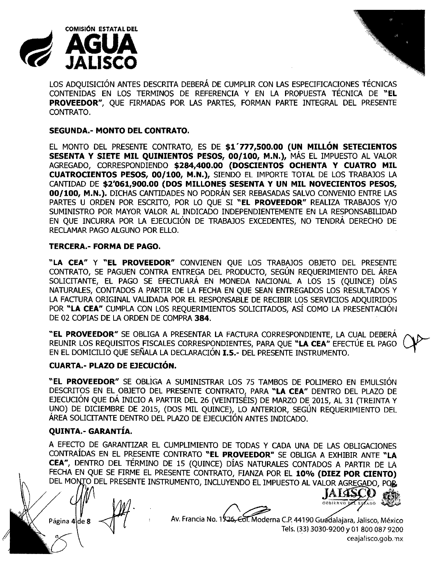



LOS ADQUISICIÓN ANTES DESCRITA DEBERÁ DE CUMPLIR CON LAS ESPECIFICACIONES TÉCNICAS CONTENIDAS EN LOS TERMINOS DE REFERENCIA Y EN LA PROPUESTA TÉCNICA DE **"EL PROVEEDOR",** QUE FIRMADAS POR LAS PARTES, FORMAN PARTE INTEGRAL DEL PRESENTE CONTRATO.

### **SEGUNDA.- MONTO DEL CONTRATO.**

EL MONTO DEL PRESENTE CONTRATO, ES DE **\$1'777,500.00 (UN MILLÓN SETECIENTOS SESENTA Y SIETE MIL QUINIENTOS PESOS, 00/100, M.N.),** MÁS EL IMPUESTO AL VALOR AGREGADO, CORRESPONDIENDO **\$284,400.00 (DOSCIENTOS OCHENTA Y CUATRO MIL CUATROCIENTOS PESOS, 00/100, M.N.),** SIENDO EL IMPORTE TOTAL DE LOS TRABAJOS LA CANTIDAD DE **\$2'061,900.00 (DOS MILLONES SESENTA Y UN MIL NOVECIENTOS PESOS, 00/100, M.N.).** DICHAS CANTIDADES NO PODRÁN SER REBASADAS SALVO CONVENIO ENTRE LAS PARTES U ORDEN POR ESCRITO, POR LO QUE SI **"EL PROVEEDOR"** REALIZA TRABAJOS Y/O SUMINISTRO POR MAYOR VALOR AL INDICADO INDEPENDIENTEMENTE EN LA RESPONSABILIDAD EN QUE INCURRA POR LA EJECUCIÓN DE TRABAJOS EXCEDENTES, NO TENDRÁ DERECHO DE RECLAMAR PAGO ALGUNO POR ELLO.

#### **TERCERA.- FORMA DE PAGO.**

**"LA CEA" Y "EL PROVEEDOR"** CONVIENEN QUE LOS TRABAJOS OBJETO DEL PRESENTE CONTRATO, SE PAGUEN CONTRA ENTREGA DEL PRODUCTO, SEGÚN REQUERIMIENTO DEL ÁREA SOLICITANTE, EL PAGO SE EFECTUARÁ EN MONEDA NACIONAL A LOS 1S (QUINCE) DÍAS NATURALES, CONTADOS A PARTIR DE LA FECHA EN QUE SEAN ENTREGADOS LOS RESULTADOS Y LA FACTURA ORIGINAL VALIDADA POR EL RESPONSABLE DE RECIBIR LOS SERVICIOS ADQUIRIDOS POR **"LA CEA"** CUMPLA CON LOS REQUERIMIENTOS SOLICITADOS, ASÍ COMO LA PRESENTACIÓI'J DE 02 COPIAS DE LA ORDEN DE COMPRA **384.**

**"EL PROVEEDOR"** SE OBLIGA A PRESENTAR LA FACTURA CORRESPONDIENTE, LA CUAL DEBERÁ REUNIR LOS REQUISITOS FISCALES CORRESPONDIENTES, PARA QUE **"LA CEA"** EFECTÚE EL PAGO f'\l>--- EN EL DOMICILIO QUE SEÑALA LA DECLARACIÓN **1.5.-** DEL PRESENTE INSTRUMENTO. '--1"

#### **CUARTA.- PLAZO DE EJECUCIÓN.**

**"EL PROVEEDOR"** SE OBLIGA A SUMINISTRAR LOS 75 TAMBOS DE POLIMERO EN EMULSIÓN DESCRITOS EN EL OBJETO DEL PRESENTE CONTRATO, PARA **"LA CEA"** DENTRO DEL PLAZO DE EJECUCIÓN QUE DÁ INICIO A PARTIR DEL 26 (VEINTISÉIS) DE MARZO DE 2015, AL 31 (TREINTA Y UNO) DE DICIEMBRE DE 2015, (DOS MIL QUINCE), LO ANTERIOR, SEGÚN REQUERIMIENTO DEL AREA SOLICITANTE DENTRO DEL PLAZO DE EJECUCION ANTES INDICADO.

## **QUINTA.- GARANTÍA.**

A EFECTO DE GARANTIZAR EL CUMPLIMIENTO DE TODAS Y CADA UNA DE LAS OBLIGACIONES CONTRAÍDAS EN EL PRESENTE CONTRATO **"EL PROVEEDOR"** SE OBLIGA A EXHIBIR ANTE **"LA CEA",** DENTRO DEL TÉRMINO DE 15 (QUINCE) DÍAS NATURALES CONTADOS A PARTIR DE LA FECHA EN QUE SE FIRME EL PRESENTE CONTRATO, FIANZA POR EL **10% (DIEZ POR CIENTO)** DEL MONTO DEL PRESENTE INSTRUMENTO, INCLUYENDO EL IMPUESTO AL VALOR AGREGADO, POR



Página 4 de 8  $\leftarrow$  Av. Francia No. 1926, Col. Moderna C.P. 44190 Guadalajara, Jalisco, México Tels. (33) 3030-9200 y 01 800 087 9200 ceajalisco.gob.mx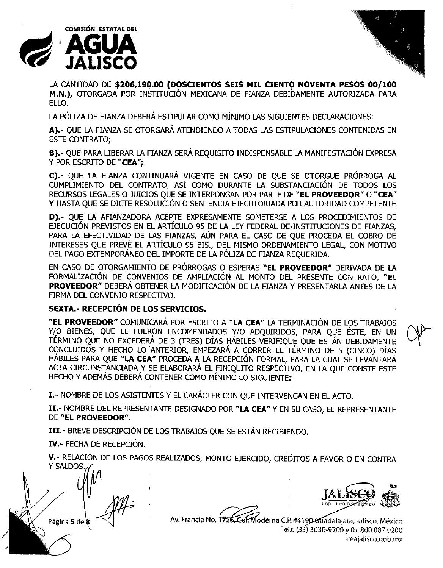



LA CANTIDAD DE **\$206,190.00 (DOSCIENTOS SEIS MIL CIENTO NOVENTA PESOS 00/100 M.N.),** OTORGADA POR INSTITUCIÓN MEXICANA DE FIANZA DEBIDAMENTE AUTORIZADA PARA ELLO.

LA PÓLIZA DE FIANZA DEBERÁ ESTIPULAR COMO MÍNIMO LAS SIGUIENTES DECLARACIONES:

**A}.-** QUE LA FIANZA SE OTORGARÁ ATENDIENDO A TODAS LAS ESTIPULACIONES CONTENIDAS EN ESTE CONTRATO;

**B).**- QUE PARA LIBERAR LA FIANZA SERÁ REQUISITO INDISPENSABLE LA MANIFESTACIÓN EXPRESA y POR ESCRITO DE **"CEA";**

**C).-** QUE LA FIANZA CONTINUARÁ VIGENTE EN CASO DE QUE SE OTORGUE PRÓRROGA AL CUMPLIMIENTO DEL CONTRATO, ASÍ COMO DURANTE LA SUBSTANCIACIÓN DE TODOS LOS RECURSOS LEGALES O JUIOOS QUE SE INTERPONGAN POR PARTE DE **"EL PROVEEDOR" O "CEA"** Y HASTA QUE SE DICTE RESOLUCIÓN O SENTENCIA EJECUTORIADA POR AUTORIDAD COMPETENTE

**D}.-** QUE LA AFIANZADORA ACEPTE EXPRESAMENTE SOMETERSE A LOS PROCEDIMIENTOS DE EJECUOÓN PREVISTOS EN EL ARTÍCULO 95 DE LA LEY FEDERAL DE INSTITUCIONES DE FIANZAS, PARA LA EFECTIVIDAD DE LAS FIANZAS, AÚN PARA EL CASO DE QUE PROCEDA EL COBRO DE INTERESES QUE PREVÉ EL ARTÍCULO 95 BIS., DEL MISMO ORDENAMIENTO LEGAL, CON MOTIVO DEL PAGO EXTEMPORÁNEO DEL IMPORTE DE LA PÓLIZA DE FIANZA REQUERIDA.

EN CASO DE OTORGAMIENTO DE PRÓRROGAS O ESPERAS **"EL PROVEEDOR"** DERIVADA DE LA FORMALIZACIÓN DE CONVENIOS DE AMPLIACIÓN AL MONTO DEL PRESENTE CONTRATO, **"EL PROVEEDOR"** DEBERÁ OBTENER LA MODIFICACIÓN DE LA FIANZA Y PRESENTARLA ANTES DE LA FIRMA DEL CONVENIO RESPECTIVO.

## **SEXTA.- RECEPCIÓN DE LOS SERVICIOS.**

**"EL PROVEEDOR"** COMUNICARÁ POR ESCRITO A **"LA CEA"** LA TERMINACIÓN DE LOS TRABAJOS Y/O BIENES, QUE LE FUERON ENCOMENDADOS Y/O ADQUIRIDOS, PARA QUE ÉSTE, EN UN TÉRMINO QUE NO EXCEDERÁ DE 3 (TRES) DÍAS HÁBILES VERIFIQUE QUE ESTÁN DEBIDAMENTE CONCLUIDOS Y HECHO LO 'ANTERIOR, EMPEZARÁ A CORRER EL TÉRMINO DE 5 (CINCO) DÍAS HÁBILES PARA QUE **"LA CEA"** PROCEDA A LA RECEPCIÓN FORMAL, PARA LA CUAL SE LEVANTARÁ ACTA CIRCUNSTANCIADA Y SE ELABORARÁ EL FINIQUITO RESPECTIVO, EN LA QUE CONSTE ESTE HECHO Y ADEMÁS DEBERÁ CONTENER COMO MÍNIMO LO SIGUIENTE:'

**1.-** NOMBRE DE LOS ASISTENTES Y EL CARÁCTER CON QUE INTERVENGAN EN EL ACTO.

**II.-** NOMBRE DEL REPRESENTANTE DESIGNADO POR **"LA CEA"** Y EN SU CASO, EL REPRESENTANTE DE **"EL PROVEEDOR".**

**III.-** BREVE DESCRIPCIÓN DE LOS TRABAJOS QUE SE ESTÁN REOBIENDO.

**IV.-** FECHA DE RECEPCIÓN.

**V.-** RELACIÓN DE LOS PAGOS REALIZADOS, MONTO EJERCIDO, CRÉDITOS A FAVOR O EN CONTRA Y SALDOS.

Página 5 de 8

Av. Francia No. 1726, Col. Moderna C.P. 44190 Guadalajara, Jalisco, México Tels. (33) 3030-9200 y 01 800 087 9200 ceajalísco.gob.mx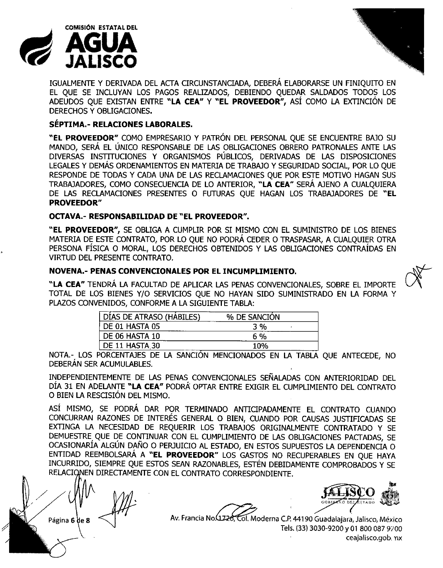



IGUALMENTE Y DERIVADA DEL ACTA CIRCUNSTANCIADA, DEBERÁ ELABORARSE UN FINIQUITO EN EL QUE SE INCLUYAN LOS PAGOS REALIZADOS, DEBIENDO QUEDAR SALDADOS TODOS LOS ADEUDOS QUE EXISTAN ENTRE "LA **CEA"** Y "EL **PROVEEDOR",** Así COMO LA EXTINCIÓN DE DERECHOS Y OBLIGACIONES.

## **SÉPTIMA.- RELACIONES LABORALES.**

**"EL PROVEEDOR"** COMO EMPRESARIO Y PATRÓN DEL PERSONAL QUE SE ENCUENTRE BAJO SU MANDO, SERÁ EL ÚNICO RESPONSABLE DE LAS OBLIGACIONES OBRERO PATRONALES ANTE LAS DIVERSAS INSTITUCIONES Y ORGANISMOS PÚBLICOS, DERIVADAS DE LAS DISPOSICIONES LEGALES Y DEMÁS ORDENAMIENTOS EN MATERIA DE TRABAJO Y SEGURIDAD SOCIAL, POR LO QUE RESPONDE DE TODAS Y CADA UNA DE LAS RECLAMACIONES QUE POR ESTE MOTIVO HAGAN SUS TRABAJADORES, COMO CONSECUENCIA DE LO ANTERIOR, **"LA CEA"** SERÁ AJENO A CUALQUIERA DE LAS RECLAMACIONES PRESENTES O FUTURAS QUE HAGAN LOS TRABAJADORES DE **"EL PROVEEDOR"**

## **OCTAVA.- RESPONSABILIDAD DE "EL PROVEEDOR".**

**"EL PROVEEDOR",** SE OBLIGA A CUMPLIR POR SI MISMO CON EL SUMINISTRO DE LOS BIENES MATERIA DE ESTE CONTRATO, POR LO QUE NO PODRÁ CEDER O TRASPASAR, A CUALQUIER OTRA PERSONA FÍSICA O MORAL, LOS DERECHOS OBTENIDOS Y LAS OBLIGACIONES CONTRAÍDAS EN VIRTUD DEL PRESENTE CONTRATO.

## **NOVENA.- PENAS CONVENCIONALES POR EL INCUMPLIMIENTO.**

**"LA CEA"** TENDRÁ LA FACULTAD DE APLICAR LAS PENAS CONVENCIONALES, SOBRE EL IMPORTE TOTAL DE LOS BIENES Y/O SERVICIOS QUE NO HAYAN SIDO SUMINISTRADO EN LA FORMA Y PLAZOS CONVENIDOS, CONFORME A LA SIGUIENTE TABLA:

| DIAS DE ATRASO (HABILES) | % DE SANCION |  |
|--------------------------|--------------|--|
| DE 01 HASTA 05           | 3 %          |  |
| DE 06 HASTA 10           | 6 %          |  |
| DE 11 HASTA 30           | 1በ%          |  |

NOTA,- LOS PORCENTAJES DE LA SANCION MENCIONADOS EN LA TABLA QUE ANTECEDE, NO DEBERÁN SER ACUMULABLES.

INDEPENDIENTEMENTE DE LAS PENAS CONVENCIONALES SEÑALADAS CON ANTERIORIDAD DEL DÍA 31 EN ADELANTE "LA **CEA"** PODRÁ OPTAR ENTRE EXIGIR EL CUMPLIMIENTO DEL CONTRATO O BIEN LA RESCISIÓN DEL MISMO,

ASÍ MISMO, SE PODRÁ DAR POR TERMINADO ANTICIPADAMENTE EL CONTRATO CUANDO CONCURRAN RAZONES DE INTERÉS GENERAL O BIEN, CUANDO POR CAUSAS JUSTIFICADAS SE EXTINGA LA NECESIDAD DE REQUERIR LOS TRABAJOS ORIGINALMENTE CONTRATADO Y SE DEMUESTRE QUE DE CONTINUAR CON EL CUMPLIMIENTO DE LAS OBLIGACIONES PACTADAS, SE OCASIONARlA ALGUN DANO O PERJUICIO AL ESTADO, EN ESTOS SUPUESTOS LA DEPENDENCIA O ENTIDAD REEMBOLSARÁ A **"EL PROVEEDOR"** LOS GASTOS NO RECUPERABLES EN QUE HAYA INCURRIDO, SIEMPRE QUE ESTOS SEAN RAZONABLES, ESTÉN DEBIDAMENTE COMPROBADOS Y SE RELACIONEN DIRECTAMENTE CON EL CONTRATO CORRESPONDIENTE.

Página 6 de 8





Av. Francia No. (1726, Col. Moderna C.P. 44190 Guadalajara, Jalisco, México Tels. (33) 3030-9200 y 01 800 087 9200 ceajalisco.gob.mx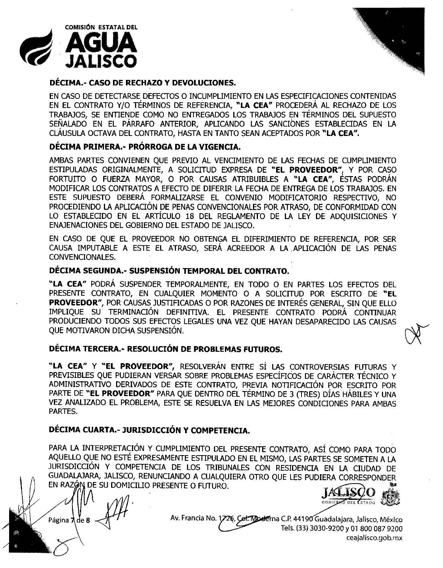



### **DÉCIMA.- CASO DE RECHAZO Y DEVOLUCIONES.**

EN CASO DE DETECTARSE DEFECTOS O INCUMPLIMIENTO EN LAS ESPECIFICACIONES CONTENIDAS EN EL CONTRATO Y/O TÉRMINOS DE REFERENCIA, **uLA CEA"** PROCEDERÁ AL RECHAZO DE LOS TRABAJOS, SE ENTIENDE COMO NO ENTREGADOS LOS TRABAJOS EN TÉRMINOS DEL SUPUESTO SEÑALADO EN EL PÁRRAFO ANTERIOR, APLICANDO LAS SANCIONES ESTABLECIDAS EN LA cLÁUSULA OCTAVA DEL CONTRATO, HASTA EN TANTO SEAN ACEPTADOS POR **"LA CEA".**

### **DÉCIMA PRIMERA.- PRÓRROGA DE LA VIGENCIA.**

AMBAS PARTES CONVIENEN QUE PREVIO AL VENCIMIENTO DE LAS FECHAS DE CUMPLIMIENTO ESTIPULADAS ORIGINALMENTE, A SOLICITUD EXPRESA DE **"EL PROVEEDOR",** Y POR CASO FORTUITO O FUERZA MAYOR, O POR CAUSAS ATRIBUIBLES A **"LA CEA",** ÉSTAS PODRÁN MODIFICAR LOS CONTRATOS A EFECTO DE DIFERIR LA FECHA DE ENTREGA DE LOS TRABAJOS. EN ESTE SUPUESTO DEBERÁ FORMALIZARSE EL CONVENIO MODIFICATORIO RESPECTIVO, NO PROCEDIENDO LA APLICACIÓN DE PENAS CONVENCIONALES POR ATRASO, DE CONFORMIDAD CON LO ESTABLECIDO EN EL ARTÍCULO 18 DEL REGLAMENTO DE LA LEY DE ADQUISICIONES Y ENAJENACIONES DEL GOBIERNO DEL ESTADO DE JALISCO.

EN CASO DE QUE EL PROVEEDOR NO OBTENGA EL DIFERIMIENTO DE REFERENCIA, POR SER CAUSA IMPUTABLE A ESTE EL ATRASO, SERÁ ACREEDOR A LA .APLICACIÓN DE LAS PENAS CONVENCIONALES.

## **DÉCIMA SEGUNDA.- SUSPENSIÓN TEMPORAL DEL CONTRATO.**

**uLA CEA"** PODRÁ SUSPENDER TEMPORALMENTE, EN TODO O EN PARTES LOS EFECTOS DEL PRESENTE CONTRATO, EN CUALQUIER MOMENTO O A SOLICITUD POR ESCRITO DE **"El PROVEEDOR",** POR CAUSAS JUSTIFICADAS O POR RAZONES DE INTERÉS GENERAL, SIN QUE ELLO IMPLIQUE SU TERMINACIÓN DEFINITIVA. EL PRESENTE CONTRATO PODRÁ CONTINUAR PRODUCIENDO TODOS SUS EFECTOS LEGALES UNA VEZ QUE HAYAN DESAPARECIDO LAS CAUSAS QUE MOTIVARON DICHA SUSPENSIÓN. \}\

## **DÉCIMA TERCERA.- RESOLUCIÓN DE PROBLEMAS FUTUROS.**

**"LA CEA" Y "EL PROVEEDOR",** RESOLVERÁN ENTRE SÍ LAS CONTROVERSIAS FUTURAS Y PREVISIBLES QUE PUDIERAN VERSAR SOBRE PROBLEMAS ESPECÍFICOS DE CARÁCTER TÉCNICO Y ADMINISTRATIVO DERIVADOS DE ESTE CONTRATO, PREVIA NOTIFICACIÓN POR ESCRITO POR PARTE DE **"EL PROVEEDOR"** PARA QUE DENTRO DEL TÉRMINO DE 3 (TRES) DÍAS HÁBILES Y UNA VEZ ANALIZADO EL PROBLEMA, ESTE SE RESUELVA EN LAS MEJORES CONDICIONES PARA AMBAS PARTES.

## **DÉCIMA CUARTA.- JURISDICCIÓN y COMPETENCIA.**

PARA LA INTERPRETACIÓN Y CUMPLIMIENTO DEL PRESENTE CONTRATO, Así COMO PARA TODO AQUELLO QUE NO ESTÉ EXPRESAMENTE ESTIPULADO EN EL MISMO, LAS PARTES SE SOMETEN A LA JURISDICCION Y COMPETENCIA DE LOS TRIBUNALES CON RESIDENCIA EN LA CIUDAD DE GUADAl.fJARA, JALISCO, RENUNCIANDO A CUALQUIERA OTRO QUE LES PUDIERA CORRESPONDER EN RAZÓN DE SU DOMICILIO PRESENTE O FUTURO.

**GOBILDAD OLL ESTADO** 

Página **1** de 8 *→ 171* **.** Av. Francia No. 1726, Col. Moderna C.P. 44190 Guadalajara, Jalisco, México - Tels. (33) 3030-9200 y 01 800 087 9200 ceajalisco.gob.rnx